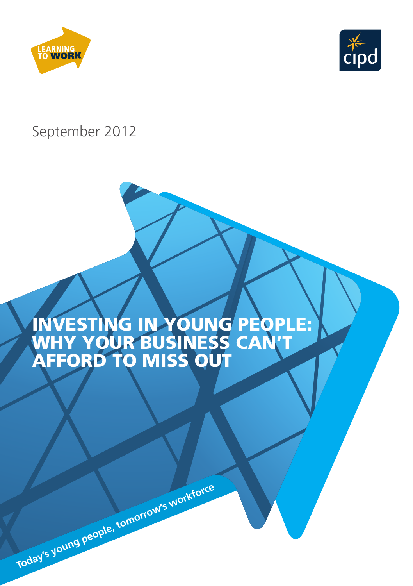



# September 2012

# INVESTING IN YOUNG PEOPLE: WHY YOUR BUSINESS CAN'T AFFORD TO MISS OUT



**Today's young people, tomorrow's workforce**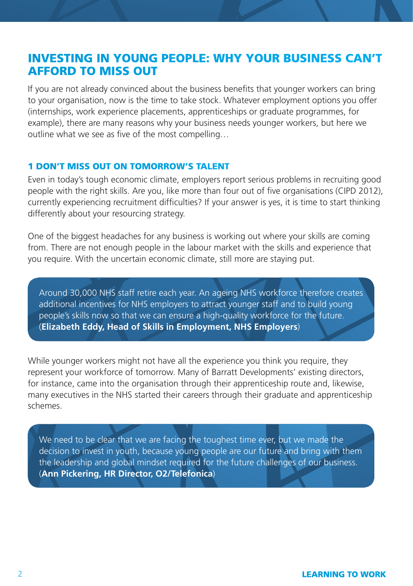# INVESTING IN YOUNG PEOPLE: WHY YOUR BUSINESS CAN'T AFFORD TO MISS OUT

If you are not already convinced about the business benefits that younger workers can bring to your organisation, now is the time to take stock. Whatever employment options you offer (internships, work experience placements, apprenticeships or graduate programmes, for example), there are many reasons why your business needs younger workers, but here we outline what we see as five of the most compelling…

#### 1 DON'T MISS OUT ON TOMORROW'S TALENT

Even in today's tough economic climate, employers report serious problems in recruiting good people with the right skills. Are you, like more than four out of five organisations (CIPD 2012), currently experiencing recruitment difficulties? If your answer is yes, it is time to start thinking differently about your resourcing strategy.

One of the biggest headaches for any business is working out where your skills are coming from. There are not enough people in the labour market with the skills and experience that you require. With the uncertain economic climate, still more are staying put.

Around 30,000 NHS staff retire each year. An ageing NHS workforce therefore creates additional incentives for NHS employers to attract younger staff and to build young people's skills now so that we can ensure a high-quality workforce for the future. (**Elizabeth Eddy, Head of Skills in Employment, NHS Employers**)

While younger workers might not have all the experience you think you require, they represent your workforce of tomorrow. Many of Barratt Developments' existing directors, for instance, came into the organisation through their apprenticeship route and, likewise, many executives in the NHS started their careers through their graduate and apprenticeship schemes.

We need to be clear that we are facing the toughest time ever, but we made the decision to invest in youth, because young people are our future and bring with them the leadership and global mindset required for the future challenges of our business. (**Ann Pickering, HR Director, O2/Telefonica**)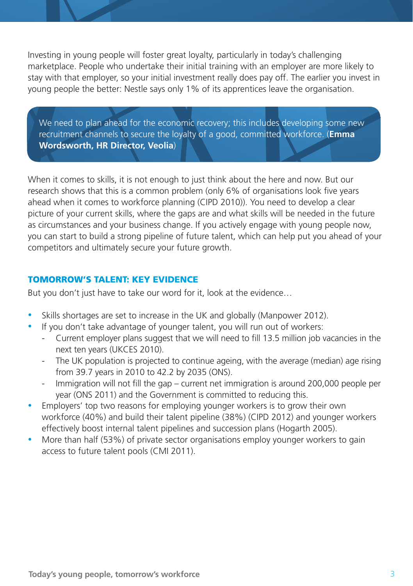Investing in young people will foster great loyalty, particularly in today's challenging marketplace. People who undertake their initial training with an employer are more likely to stay with that employer, so your initial investment really does pay off. The earlier you invest in young people the better: Nestle says only 1% of its apprentices leave the organisation.

We need to plan ahead for the economic recovery; this includes developing some new recruitment channels to secure the loyalty of a good, committed workforce. (**Emma Wordsworth, HR Director, Veolia**)

When it comes to skills, it is not enough to just think about the here and now. But our research shows that this is a common problem (only 6% of organisations look five years ahead when it comes to workforce planning (CIPD 2010)). You need to develop a clear picture of your current skills, where the gaps are and what skills will be needed in the future as circumstances and your business change. If you actively engage with young people now, you can start to build a strong pipeline of future talent, which can help put you ahead of your competitors and ultimately secure your future growth.

# TOMORROW'S TALENT: KEY EVIDENCE

But you don't just have to take our word for it, look at the evidence…

- Skills shortages are set to increase in the UK and globally (Manpower 2012).
	- If you don't take advantage of younger talent, you will run out of workers:
		- Current employer plans suggest that we will need to fill 13.5 million job vacancies in the next ten years (UKCES 2010).
		- The UK population is projected to continue ageing, with the average (median) age rising from 39.7 years in 2010 to 42.2 by 2035 (ONS).
		- Immigration will not fill the gap current net immigration is around 200,000 people per year (ONS 2011) and the Government is committed to reducing this.
- Employers' top two reasons for employing younger workers is to grow their own workforce (40%) and build their talent pipeline (38%) (CIPD 2012) and younger workers effectively boost internal talent pipelines and succession plans (Hogarth 2005).
- More than half (53%) of private sector organisations employ younger workers to gain access to future talent pools (CMI 2011).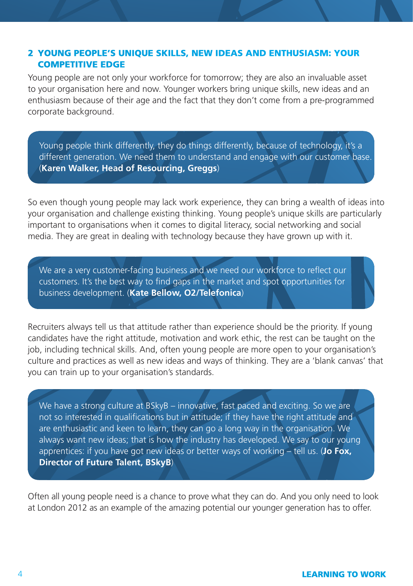### 2 YOUNG PEOPLE'S UNIQUE SKILLS, NEW IDEAS AND ENTHUSIASM: YOUR COMPETITIVE EDGE

Young people are not only your workforce for tomorrow; they are also an invaluable asset to your organisation here and now. Younger workers bring unique skills, new ideas and an enthusiasm because of their age and the fact that they don't come from a pre-programmed corporate background.

Young people think differently, they do things differently, because of technology, it's a different generation. We need them to understand and engage with our customer base. (**Karen Walker, Head of Resourcing, Greggs**)

So even though young people may lack work experience, they can bring a wealth of ideas into your organisation and challenge existing thinking. Young people's unique skills are particularly important to organisations when it comes to digital literacy, social networking and social media. They are great in dealing with technology because they have grown up with it.

We are a very customer-facing business and we need our workforce to reflect our customers. It's the best way to find gaps in the market and spot opportunities for business development. (**Kate Bellow, O2/Telefonica**)

Recruiters always tell us that attitude rather than experience should be the priority. If young candidates have the right attitude, motivation and work ethic, the rest can be taught on the job, including technical skills. And, often young people are more open to your organisation's culture and practices as well as new ideas and ways of thinking. They are a 'blank canvas' that you can train up to your organisation's standards.

We have a strong culture at BSkyB – innovative, fast paced and exciting. So we are not so interested in qualifications but in attitude; if they have the right attitude and are enthusiastic and keen to learn, they can go a long way in the organisation. We always want new ideas; that is how the industry has developed. We say to our young apprentices: if you have got new ideas or better ways of working – tell us. (**Jo Fox, Director of Future Talent, BSkyB**)

Often all young people need is a chance to prove what they can do. And you only need to look at London 2012 as an example of the amazing potential our younger generation has to offer.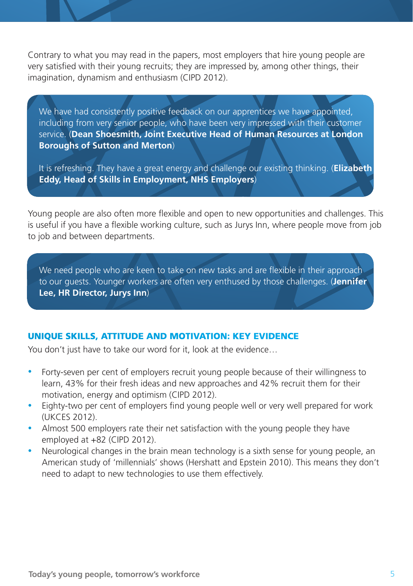Contrary to what you may read in the papers, most employers that hire young people are very satisfied with their young recruits; they are impressed by, among other things, their imagination, dynamism and enthusiasm (CIPD 2012).

We have had consistently positive feedback on our apprentices we have appointed. including from very senior people, who have been very impressed with their customer service. (**Dean Shoesmith, Joint Executive Head of Human Resources at London Boroughs of Sutton and Merton**)

It is refreshing. They have a great energy and challenge our existing thinking. (**Elizabeth Eddy, Head of Skills in Employment, NHS Employers**)

Young people are also often more flexible and open to new opportunities and challenges. This is useful if you have a flexible working culture, such as Jurys Inn, where people move from job to job and between departments.

We need people who are keen to take on new tasks and are flexible in their approach to our guests. Younger workers are often very enthused by those challenges. (**Jennifer Lee, HR Director, Jurys Inn**)

# UNIQUE SKILLS, ATTITUDE AND MOTIVATION: KEY EVIDENCE

You don't just have to take our word for it, look at the evidence…

- Forty-seven per cent of employers recruit young people because of their willingness to learn, 43% for their fresh ideas and new approaches and 42% recruit them for their motivation, energy and optimism (CIPD 2012).
- Eighty-two per cent of employers find young people well or very well prepared for work (UKCES 2012).
- Almost 500 employers rate their net satisfaction with the young people they have employed at +82 (CIPD 2012).
- Neurological changes in the brain mean technology is a sixth sense for young people, an American study of 'millennials' shows (Hershatt and Epstein 2010). This means they don't need to adapt to new technologies to use them effectively.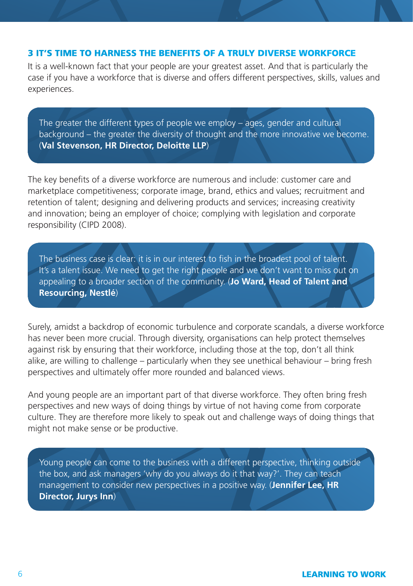#### 3 IT'S TIME TO HARNESS THE BENEFITS OF A TRULY DIVERSE WORKFORCE

It is a well-known fact that your people are your greatest asset. And that is particularly the case if you have a workforce that is diverse and offers different perspectives, skills, values and experiences.

The greater the different types of people we employ – ages, gender and cultural background – the greater the diversity of thought and the more innovative we become. (**Val Stevenson, HR Director, Deloitte LLP**)

The key benefits of a diverse workforce are numerous and include: customer care and marketplace competitiveness; corporate image, brand, ethics and values; recruitment and retention of talent; designing and delivering products and services; increasing creativity and innovation; being an employer of choice; complying with legislation and corporate responsibility (CIPD 2008).

The business case is clear: it is in our interest to fish in the broadest pool of talent. It's a talent issue. We need to get the right people and we don't want to miss out on appealing to a broader section of the community. (**Jo Ward, Head of Talent and Resourcing, Nestlé**)

Surely, amidst a backdrop of economic turbulence and corporate scandals, a diverse workforce has never been more crucial. Through diversity, organisations can help protect themselves against risk by ensuring that their workforce, including those at the top, don't all think alike, are willing to challenge – particularly when they see unethical behaviour – bring fresh perspectives and ultimately offer more rounded and balanced views.

And young people are an important part of that diverse workforce. They often bring fresh perspectives and new ways of doing things by virtue of not having come from corporate culture. They are therefore more likely to speak out and challenge ways of doing things that might not make sense or be productive.

Young people can come to the business with a different perspective, thinking outside the box, and ask managers 'why do you always do it that way?'. They can teach management to consider new perspectives in a positive way. (**Jennifer Lee, HR Director, Jurys Inn**)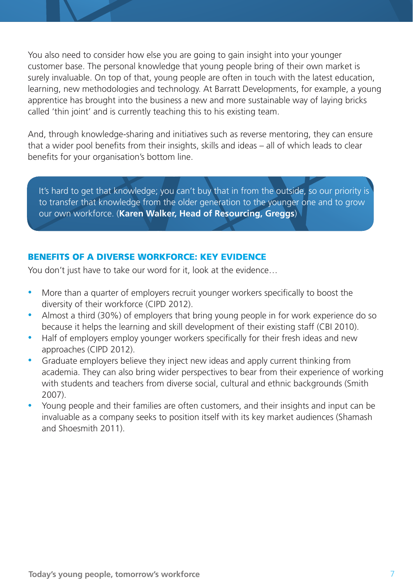You also need to consider how else you are going to gain insight into your younger customer base. The personal knowledge that young people bring of their own market is surely invaluable. On top of that, young people are often in touch with the latest education, learning, new methodologies and technology. At Barratt Developments, for example, a young apprentice has brought into the business a new and more sustainable way of laying bricks called 'thin joint' and is currently teaching this to his existing team.

And, through knowledge-sharing and initiatives such as reverse mentoring, they can ensure that a wider pool benefits from their insights, skills and ideas – all of which leads to clear benefits for your organisation's bottom line.

It's hard to get that knowledge; you can't buy that in from the outside, so our priority is to transfer that knowledge from the older generation to the younger one and to grow our own workforce. (**Karen Walker, Head of Resourcing, Greggs**)

# BENEFITS OF A DIVERSE WORKFORCE: KEY EVIDENCE

You don't just have to take our word for it, look at the evidence…

- More than a quarter of employers recruit younger workers specifically to boost the diversity of their workforce (CIPD 2012).
- Almost a third (30%) of employers that bring young people in for work experience do so because it helps the learning and skill development of their existing staff (CBI 2010).
- Half of employers employ younger workers specifically for their fresh ideas and new approaches (CIPD 2012).
- Graduate employers believe they inject new ideas and apply current thinking from academia. They can also bring wider perspectives to bear from their experience of working with students and teachers from diverse social, cultural and ethnic backgrounds (Smith 2007).
- Young people and their families are often customers, and their insights and input can be invaluable as a company seeks to position itself with its key market audiences (Shamash and Shoesmith 2011).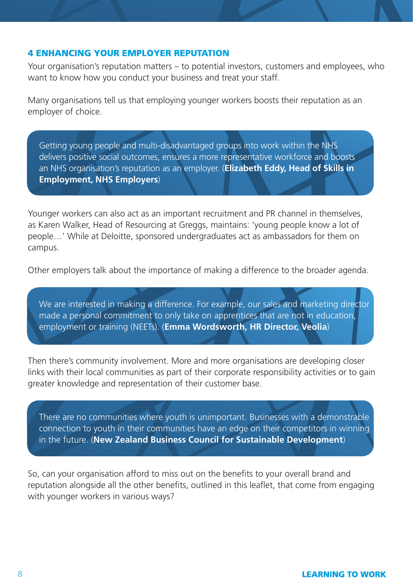#### 4 ENHANCING YOUR EMPLOYER REPUTATION

Your organisation's reputation matters – to potential investors, customers and employees, who want to know how you conduct your business and treat your staff.

Many organisations tell us that employing younger workers boosts their reputation as an employer of choice.

Getting young people and multi-disadvantaged groups into work within the NHS delivers positive social outcomes, ensures a more representative workforce and boosts an NHS organisation's reputation as an employer. (**Elizabeth Eddy, Head of Skills in Employment, NHS Employers**)

Younger workers can also act as an important recruitment and PR channel in themselves, as Karen Walker, Head of Resourcing at Greggs, maintains: 'young people know a lot of people…' While at Deloitte, sponsored undergraduates act as ambassadors for them on campus.

Other employers talk about the importance of making a difference to the broader agenda.

We are interested in making a difference. For example, our sales and marketing director made a personal commitment to only take on apprentices that are not in education, employment or training (NEETs). (**Emma Wordsworth, HR Director, Veolia**)

Then there's community involvement. More and more organisations are developing closer links with their local communities as part of their corporate responsibility activities or to gain greater knowledge and representation of their customer base.

There are no communities where youth is unimportant. Businesses with a demonstrable connection to youth in their communities have an edge on their competitors in winning in the future. (**New Zealand Business Council for Sustainable Development**)

So, can your organisation afford to miss out on the benefits to your overall brand and reputation alongside all the other benefits, outlined in this leaflet, that come from engaging with younger workers in various ways?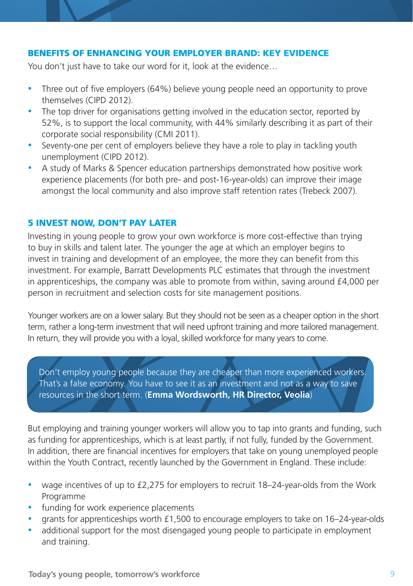# BENEFITS OF ENHANCING YOUR EMPLOYER BRAND: KEY EVIDENCE

You don't just have to take our word for it, look at the evidence…

- Three out of five employers (64%) believe young people need an opportunity to prove themselves (CIPD 2012).
- The top driver for organisations getting involved in the education sector, reported by 52%, is to support the local community, with 44% similarly describing it as part of their corporate social responsibility (CMI 2011).
- Seventy-one per cent of employers believe they have a role to play in tackling youth unemployment (CIPD 2012).
- A study of Marks & Spencer education partnerships demonstrated how positive work experience placements (for both pre- and post-16-year-olds) can improve their image amongst the local community and also improve staff retention rates (Trebeck 2007).

#### 5 INVEST NOW, DON'T PAY LATER

Investing in young people to grow your own workforce is more cost-effective than trying to buy in skills and talent later. The younger the age at which an employer begins to invest in training and development of an employee, the more they can benefit from this investment. For example, Barratt Developments PLC estimates that through the investment in apprenticeships, the company was able to promote from within, saving around £4,000 per person in recruitment and selection costs for site management positions.

Younger workers are on a lower salary. But they should not be seen as a cheaper option in the short term, rather a long-term investment that will need upfront training and more tailored management. In return, they will provide you with a loyal, skilled workforce for many years to come.

Don't employ young people because they are cheaper than more experienced workers. That's a false economy. You have to see it as an investment and not as a way to save resources in the short term. (**Emma Wordsworth, HR Director, Veolia**)

But employing and training younger workers will allow you to tap into grants and funding, such as funding for apprenticeships, which is at least partly, if not fully, funded by the Government. In addition, there are financial incentives for employers that take on young unemployed people within the Youth Contract, recently launched by the Government in England. These include:

- wage incentives of up to £2,275 for employers to recruit 18–24-year-olds from the Work Programme
- funding for work experience placements
- grants for apprenticeships worth £1,500 to encourage employers to take on 16–24-year-olds
- additional support for the most disengaged young people to participate in employment and training.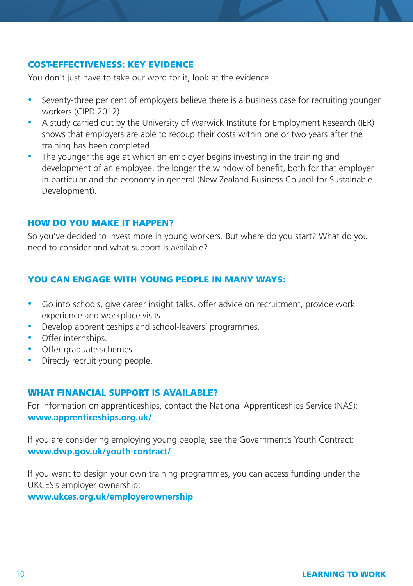### COST-EFFECTIVENESS: KEY EVIDENCE

You don't just have to take our word for it, look at the evidence...

- Seventy-three per cent of employers believe there is a business case for recruiting younger workers (CIPD 2012).
- A study carried out by the University of Warwick Institute for Employment Research (IER) shows that employers are able to recoup their costs within one or two years after the training has been completed.
- The younger the age at which an employer begins investing in the training and development of an employee, the longer the window of benefit, both for that employer in particular and the economy in general (New Zealand Business Council for Sustainable Development).

#### HOW DO YOU MAKE IT HAPPEN?

So you've decided to invest more in young workers. But where do you start? What do you need to consider and what support is available?

### YOU CAN ENGAGE WITH YOUNG PEOPLE IN MANY WAYS:

- Go into schools, give career insight talks, offer advice on recruitment, provide work experience and workplace visits.
- Develop apprenticeships and school-leavers' programmes.
- Offer internships.
- Offer graduate schemes.
- Directly recruit young people.

#### WHAT FINANCIAL SUPPORT IS AVAILABLE?

For information on apprenticeships, contact the National Apprenticeships Service (NAS): **www.apprenticeships.org.uk/**

If you are considering employing young people, see the Government's Youth Contract: **www.dwp.gov.uk/youth-contract/**

If you want to design your own training programmes, you can access funding under the UKCES's employer ownership:

**www.ukces.org.uk/employerownership**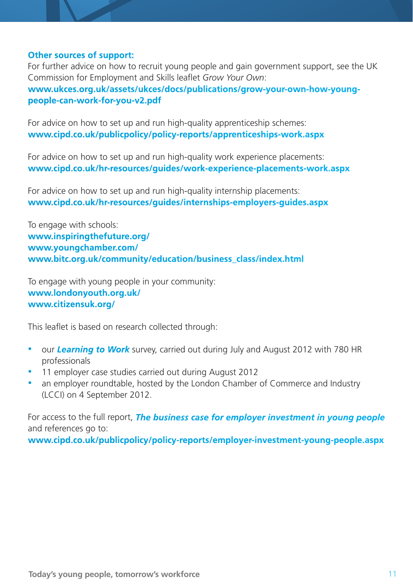#### **Other sources of support:**

For further advice on how to recruit young people and gain government support, see the UK Commission for Employment and Skills leaflet *Grow Your Own*:

**www.ukces.org.uk/assets/ukces/docs/publications/grow-your-own-how-youngpeople-can-work-for-you-v2.pdf**

For advice on how to set up and run high-quality apprenticeship schemes: **www.cipd.co.uk/publicpolicy/policy-reports/apprenticeships-work.aspx**

For advice on how to set up and run high-quality work experience placements: **www.cipd.co.uk/hr-resources/guides/work-experience-placements-work.aspx**

For advice on how to set up and run high-quality internship placements: **www.cipd.co.uk/hr-resources/guides/internships-employers-guides.aspx**

To engage with schools: **www.inspiringthefuture.org/ www.youngchamber.com/ www.bitc.org.uk/community/education/business\_class/index.html**

To engage with young people in your community: **www.londonyouth.org.uk/ www.citizensuk.org/**

This leaflet is based on research collected through:

- our *Learning to Work* survey, carried out during July and August 2012 with 780 HR professionals
- 11 employer case studies carried out during August 2012
- an employer roundtable, hosted by the London Chamber of Commerce and Industry (LCCI) on 4 September 2012.

For access to the full report, *The business case for employer investment in young people* and references go to:

**www.cipd.co.uk/publicpolicy/policy-reports/employer-investment-young-people.aspx**